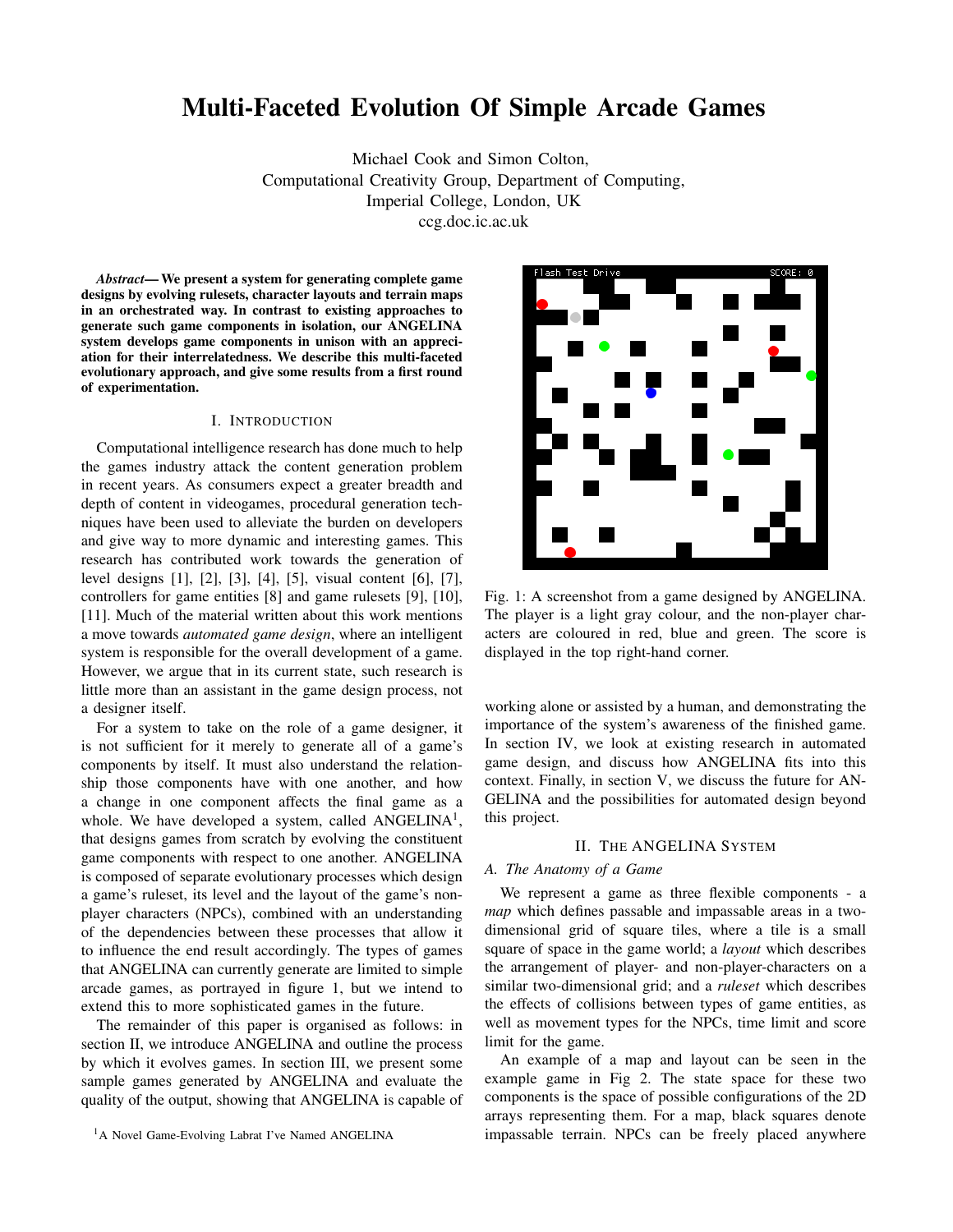# Multi-Faceted Evolution Of Simple Arcade Games

Michael Cook and Simon Colton, Computational Creativity Group, Department of Computing, Imperial College, London, UK ccg.doc.ic.ac.uk

*Abstract*— We present a system for generating complete game designs by evolving rulesets, character layouts and terrain maps in an orchestrated way. In contrast to existing approaches to generate such game components in isolation, our ANGELINA system develops game components in unison with an appreciation for their interrelatedness. We describe this multi-faceted evolutionary approach, and give some results from a first round of experimentation.

#### I. INTRODUCTION

Computational intelligence research has done much to help the games industry attack the content generation problem in recent years. As consumers expect a greater breadth and depth of content in videogames, procedural generation techniques have been used to alleviate the burden on developers and give way to more dynamic and interesting games. This research has contributed work towards the generation of level designs [1], [2], [3], [4], [5], visual content [6], [7], controllers for game entities [8] and game rulesets [9], [10], [11]. Much of the material written about this work mentions a move towards *automated game design*, where an intelligent system is responsible for the overall development of a game. However, we argue that in its current state, such research is little more than an assistant in the game design process, not a designer itself.

For a system to take on the role of a game designer, it is not sufficient for it merely to generate all of a game's components by itself. It must also understand the relationship those components have with one another, and how a change in one component affects the final game as a whole. We have developed a system, called ANGELINA<sup>1</sup>, that designs games from scratch by evolving the constituent game components with respect to one another. ANGELINA is composed of separate evolutionary processes which design a game's ruleset, its level and the layout of the game's nonplayer characters (NPCs), combined with an understanding of the dependencies between these processes that allow it to influence the end result accordingly. The types of games that ANGELINA can currently generate are limited to simple arcade games, as portrayed in figure 1, but we intend to extend this to more sophisticated games in the future.

The remainder of this paper is organised as follows: in section II, we introduce ANGELINA and outline the process by which it evolves games. In section III, we present some sample games generated by ANGELINA and evaluate the quality of the output, showing that ANGELINA is capable of



Fig. 1: A screenshot from a game designed by ANGELINA. The player is a light gray colour, and the non-player characters are coloured in red, blue and green. The score is displayed in the top right-hand corner.

working alone or assisted by a human, and demonstrating the importance of the system's awareness of the finished game. In section IV, we look at existing research in automated game design, and discuss how ANGELINA fits into this context. Finally, in section V, we discuss the future for AN-GELINA and the possibilities for automated design beyond this project.

## II. THE ANGELINA SYSTEM

#### *A. The Anatomy of a Game*

We represent a game as three flexible components - a *map* which defines passable and impassable areas in a twodimensional grid of square tiles, where a tile is a small square of space in the game world; a *layout* which describes the arrangement of player- and non-player-characters on a similar two-dimensional grid; and a *ruleset* which describes the effects of collisions between types of game entities, as well as movement types for the NPCs, time limit and score limit for the game.

An example of a map and layout can be seen in the example game in Fig 2. The state space for these two components is the space of possible configurations of the 2D arrays representing them. For a map, black squares denote impassable terrain. NPCs can be freely placed anywhere

<sup>&</sup>lt;sup>1</sup>A Novel Game-Evolving Labrat I've Named ANGELINA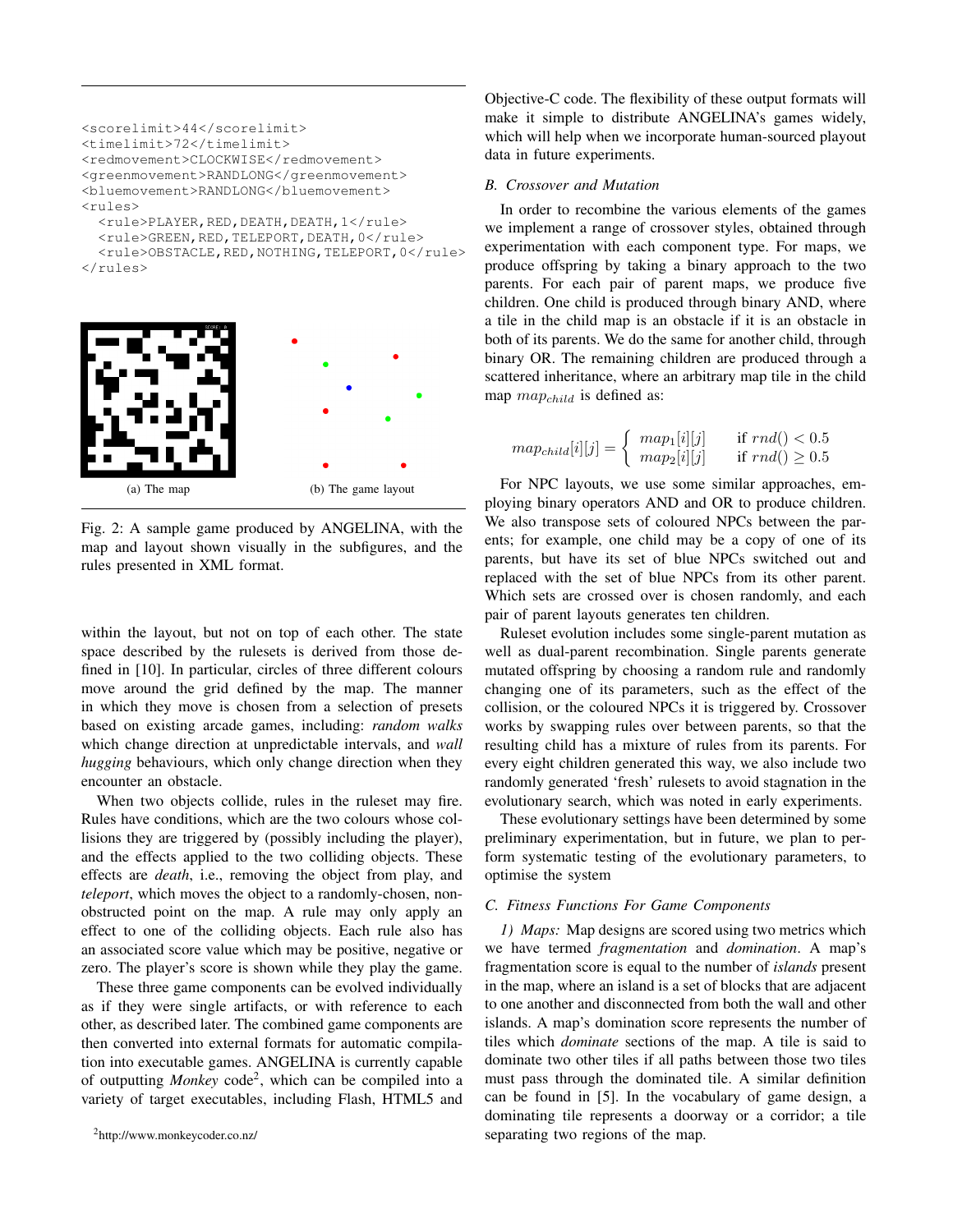```
<scorelimit>44</scorelimit>
<timelimit>72</timelimit>
<redmovement>CLOCKWISE</redmovement>
<greenmovement>RANDLONG</greenmovement>
<bluemovement>RANDLONG</bluemovement>
<rules>
  <rule>PLAYER,RED,DEATH,DEATH,1</rule>
  <rule>GREEN, RED, TELEPORT, DEATH, 0</rule>
  <rule>OBSTACLE, RED, NOTHING, TELEPORT, 0</rule>
```
</rules>



Fig. 2: A sample game produced by ANGELINA, with the map and layout shown visually in the subfigures, and the rules presented in XML format.

within the layout, but not on top of each other. The state space described by the rulesets is derived from those defined in [10]. In particular, circles of three different colours move around the grid defined by the map. The manner in which they move is chosen from a selection of presets based on existing arcade games, including: *random walks* which change direction at unpredictable intervals, and *wall hugging* behaviours, which only change direction when they encounter an obstacle.

When two objects collide, rules in the ruleset may fire. Rules have conditions, which are the two colours whose collisions they are triggered by (possibly including the player), and the effects applied to the two colliding objects. These effects are *death*, i.e., removing the object from play, and *teleport*, which moves the object to a randomly-chosen, nonobstructed point on the map. A rule may only apply an effect to one of the colliding objects. Each rule also has an associated score value which may be positive, negative or zero. The player's score is shown while they play the game.

These three game components can be evolved individually as if they were single artifacts, or with reference to each other, as described later. The combined game components are then converted into external formats for automatic compilation into executable games. ANGELINA is currently capable of outputting *Monkey* code<sup>2</sup> , which can be compiled into a variety of target executables, including Flash, HTML5 and Objective-C code. The flexibility of these output formats will make it simple to distribute ANGELINA's games widely, which will help when we incorporate human-sourced playout data in future experiments.

#### *B. Crossover and Mutation*

In order to recombine the various elements of the games we implement a range of crossover styles, obtained through experimentation with each component type. For maps, we produce offspring by taking a binary approach to the two parents. For each pair of parent maps, we produce five children. One child is produced through binary AND, where a tile in the child map is an obstacle if it is an obstacle in both of its parents. We do the same for another child, through binary OR. The remaining children are produced through a scattered inheritance, where an arbitrary map tile in the child map  $map_{child}$  is defined as:

$$
map_{child}[i][j] = \begin{cases} \n\text{map}_1[i][j] & \text{if } \text{rnd}() < 0.5 \\ \n\text{map}_2[i][j] & \text{if } \text{rnd}() \ge 0.5 \n\end{cases}
$$

For NPC layouts, we use some similar approaches, employing binary operators AND and OR to produce children. We also transpose sets of coloured NPCs between the parents; for example, one child may be a copy of one of its parents, but have its set of blue NPCs switched out and replaced with the set of blue NPCs from its other parent. Which sets are crossed over is chosen randomly, and each pair of parent layouts generates ten children.

Ruleset evolution includes some single-parent mutation as well as dual-parent recombination. Single parents generate mutated offspring by choosing a random rule and randomly changing one of its parameters, such as the effect of the collision, or the coloured NPCs it is triggered by. Crossover works by swapping rules over between parents, so that the resulting child has a mixture of rules from its parents. For every eight children generated this way, we also include two randomly generated 'fresh' rulesets to avoid stagnation in the evolutionary search, which was noted in early experiments.

These evolutionary settings have been determined by some preliminary experimentation, but in future, we plan to perform systematic testing of the evolutionary parameters, to optimise the system

## *C. Fitness Functions For Game Components*

*1) Maps:* Map designs are scored using two metrics which we have termed *fragmentation* and *domination*. A map's fragmentation score is equal to the number of *islands* present in the map, where an island is a set of blocks that are adjacent to one another and disconnected from both the wall and other islands. A map's domination score represents the number of tiles which *dominate* sections of the map. A tile is said to dominate two other tiles if all paths between those two tiles must pass through the dominated tile. A similar definition can be found in [5]. In the vocabulary of game design, a dominating tile represents a doorway or a corridor; a tile separating two regions of the map.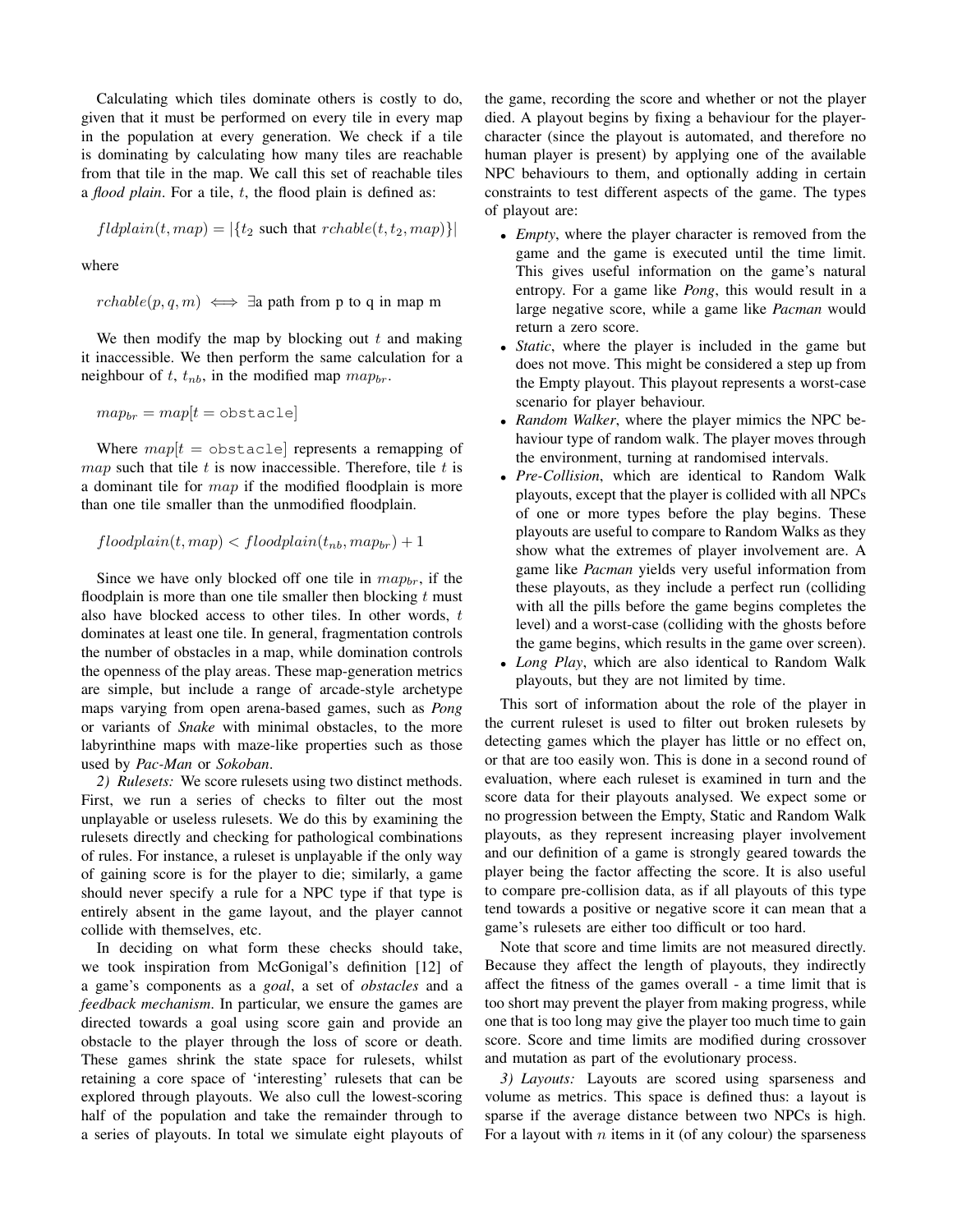Calculating which tiles dominate others is costly to do, given that it must be performed on every tile in every map in the population at every generation. We check if a tile is dominating by calculating how many tiles are reachable from that tile in the map. We call this set of reachable tiles a *flood plain*. For a tile, t, the flood plain is defined as:

$$
fldplain(t, map) = |\{t_2 \text{ such that } rchable(t, t_2, map)\}|
$$

where

$$
rchable(p, q, m) \iff \exists
$$
a path from p to q in map m

We then modify the map by blocking out  $t$  and making it inaccessible. We then perform the same calculation for a neighbour of  $t$ ,  $t_{nb}$ , in the modified map  $map_{br}$ .

$$
map_{br} = map[t = \texttt{obstack}]
$$

Where  $map[t = \text{obstacle}]$  represents a remapping of *map* such that tile t is now inaccessible. Therefore, tile t is a dominant tile for  $map$  if the modified floodplain is more than one tile smaller than the unmodified floodplain.

$$
floodplain(t, map) < floodplain(t_{nb}, map_{br}) + 1
$$

Since we have only blocked off one tile in  $map_{br}$ , if the floodplain is more than one tile smaller then blocking  $t$  must also have blocked access to other tiles. In other words,  $t$ dominates at least one tile. In general, fragmentation controls the number of obstacles in a map, while domination controls the openness of the play areas. These map-generation metrics are simple, but include a range of arcade-style archetype maps varying from open arena-based games, such as *Pong* or variants of *Snake* with minimal obstacles, to the more labyrinthine maps with maze-like properties such as those used by *Pac-Man* or *Sokoban*.

*2) Rulesets:* We score rulesets using two distinct methods. First, we run a series of checks to filter out the most unplayable or useless rulesets. We do this by examining the rulesets directly and checking for pathological combinations of rules. For instance, a ruleset is unplayable if the only way of gaining score is for the player to die; similarly, a game should never specify a rule for a NPC type if that type is entirely absent in the game layout, and the player cannot collide with themselves, etc.

In deciding on what form these checks should take, we took inspiration from McGonigal's definition [12] of a game's components as a *goal*, a set of *obstacles* and a *feedback mechanism*. In particular, we ensure the games are directed towards a goal using score gain and provide an obstacle to the player through the loss of score or death. These games shrink the state space for rulesets, whilst retaining a core space of 'interesting' rulesets that can be explored through playouts. We also cull the lowest-scoring half of the population and take the remainder through to a series of playouts. In total we simulate eight playouts of the game, recording the score and whether or not the player died. A playout begins by fixing a behaviour for the playercharacter (since the playout is automated, and therefore no human player is present) by applying one of the available NPC behaviours to them, and optionally adding in certain constraints to test different aspects of the game. The types of playout are:

- *Empty*, where the player character is removed from the game and the game is executed until the time limit. This gives useful information on the game's natural entropy. For a game like *Pong*, this would result in a large negative score, while a game like *Pacman* would return a zero score.
- *Static*, where the player is included in the game but does not move. This might be considered a step up from the Empty playout. This playout represents a worst-case scenario for player behaviour.
- *Random Walker*, where the player mimics the NPC behaviour type of random walk. The player moves through the environment, turning at randomised intervals.
- *Pre-Collision*, which are identical to Random Walk playouts, except that the player is collided with all NPCs of one or more types before the play begins. These playouts are useful to compare to Random Walks as they show what the extremes of player involvement are. A game like *Pacman* yields very useful information from these playouts, as they include a perfect run (colliding with all the pills before the game begins completes the level) and a worst-case (colliding with the ghosts before the game begins, which results in the game over screen).
- *Long Play*, which are also identical to Random Walk playouts, but they are not limited by time.

This sort of information about the role of the player in the current ruleset is used to filter out broken rulesets by detecting games which the player has little or no effect on, or that are too easily won. This is done in a second round of evaluation, where each ruleset is examined in turn and the score data for their playouts analysed. We expect some or no progression between the Empty, Static and Random Walk playouts, as they represent increasing player involvement and our definition of a game is strongly geared towards the player being the factor affecting the score. It is also useful to compare pre-collision data, as if all playouts of this type tend towards a positive or negative score it can mean that a game's rulesets are either too difficult or too hard.

Note that score and time limits are not measured directly. Because they affect the length of playouts, they indirectly affect the fitness of the games overall - a time limit that is too short may prevent the player from making progress, while one that is too long may give the player too much time to gain score. Score and time limits are modified during crossover and mutation as part of the evolutionary process.

*3) Layouts:* Layouts are scored using sparseness and volume as metrics. This space is defined thus: a layout is sparse if the average distance between two NPCs is high. For a layout with  $n$  items in it (of any colour) the sparseness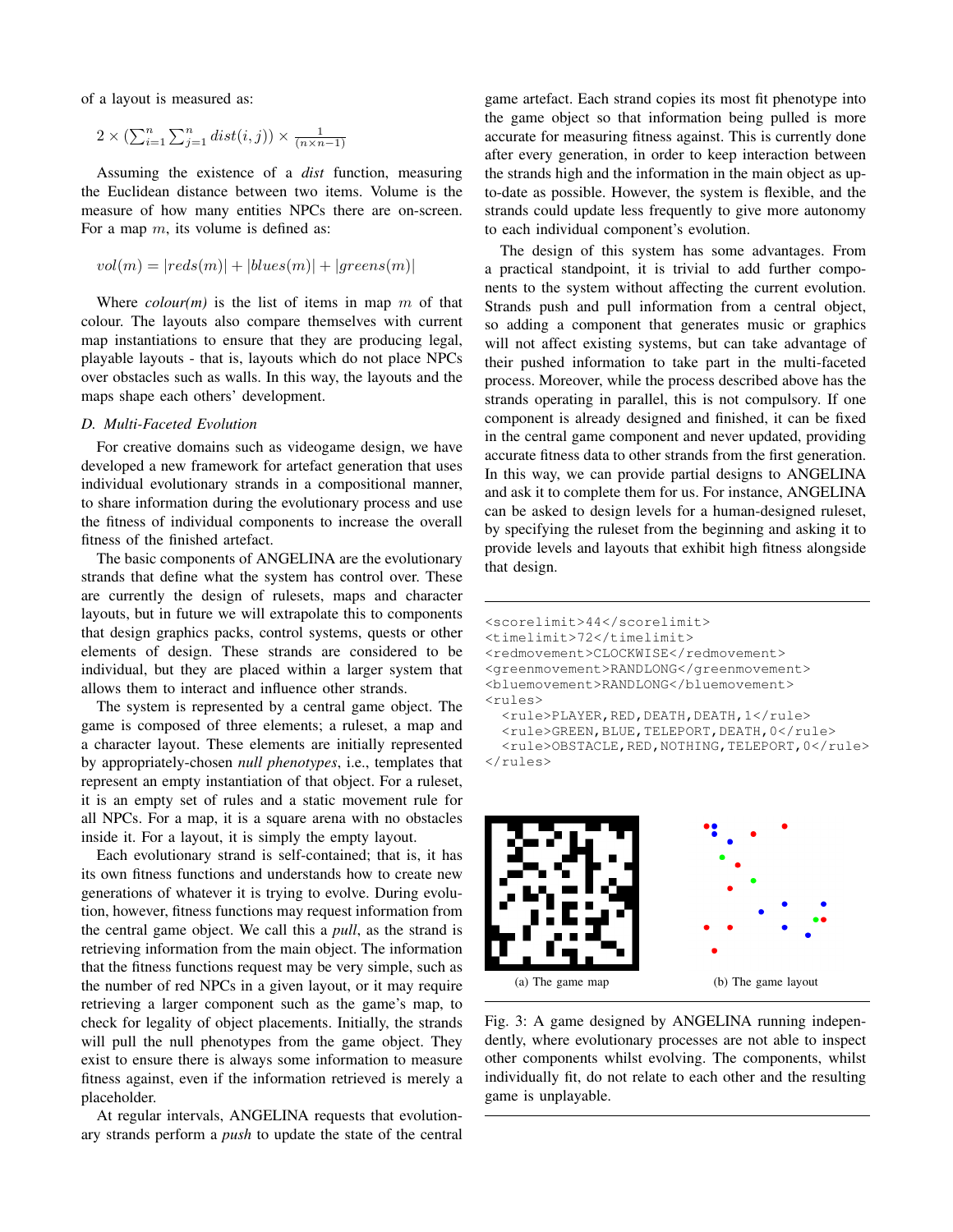of a layout is measured as:

$$
2\times (\sum_{i=1}^n\sum_{j=1}^ndist(i,j))\times \frac{1}{(n\times n-1)}
$$

Assuming the existence of a *dist* function, measuring the Euclidean distance between two items. Volume is the measure of how many entities NPCs there are on-screen. For a map  $m$ , its volume is defined as:

$$
vol(m) = |reds(m)| + |blues(m)| + |greens(m)|
$$

Where  $\text{colour}(m)$  is the list of items in map m of that colour. The layouts also compare themselves with current map instantiations to ensure that they are producing legal, playable layouts - that is, layouts which do not place NPCs over obstacles such as walls. In this way, the layouts and the maps shape each others' development.

## *D. Multi-Faceted Evolution*

For creative domains such as videogame design, we have developed a new framework for artefact generation that uses individual evolutionary strands in a compositional manner, to share information during the evolutionary process and use the fitness of individual components to increase the overall fitness of the finished artefact.

The basic components of ANGELINA are the evolutionary strands that define what the system has control over. These are currently the design of rulesets, maps and character layouts, but in future we will extrapolate this to components that design graphics packs, control systems, quests or other elements of design. These strands are considered to be individual, but they are placed within a larger system that allows them to interact and influence other strands.

The system is represented by a central game object. The game is composed of three elements; a ruleset, a map and a character layout. These elements are initially represented by appropriately-chosen *null phenotypes*, i.e., templates that represent an empty instantiation of that object. For a ruleset, it is an empty set of rules and a static movement rule for all NPCs. For a map, it is a square arena with no obstacles inside it. For a layout, it is simply the empty layout.

Each evolutionary strand is self-contained; that is, it has its own fitness functions and understands how to create new generations of whatever it is trying to evolve. During evolution, however, fitness functions may request information from the central game object. We call this a *pull*, as the strand is retrieving information from the main object. The information that the fitness functions request may be very simple, such as the number of red NPCs in a given layout, or it may require retrieving a larger component such as the game's map, to check for legality of object placements. Initially, the strands will pull the null phenotypes from the game object. They exist to ensure there is always some information to measure fitness against, even if the information retrieved is merely a placeholder.

At regular intervals, ANGELINA requests that evolutionary strands perform a *push* to update the state of the central game artefact. Each strand copies its most fit phenotype into the game object so that information being pulled is more accurate for measuring fitness against. This is currently done after every generation, in order to keep interaction between the strands high and the information in the main object as upto-date as possible. However, the system is flexible, and the strands could update less frequently to give more autonomy to each individual component's evolution.

The design of this system has some advantages. From a practical standpoint, it is trivial to add further components to the system without affecting the current evolution. Strands push and pull information from a central object, so adding a component that generates music or graphics will not affect existing systems, but can take advantage of their pushed information to take part in the multi-faceted process. Moreover, while the process described above has the strands operating in parallel, this is not compulsory. If one component is already designed and finished, it can be fixed in the central game component and never updated, providing accurate fitness data to other strands from the first generation. In this way, we can provide partial designs to ANGELINA and ask it to complete them for us. For instance, ANGELINA can be asked to design levels for a human-designed ruleset, by specifying the ruleset from the beginning and asking it to provide levels and layouts that exhibit high fitness alongside that design.

<scorelimit>44</scorelimit> <timelimit>72</timelimit> <redmovement>CLOCKWISE</redmovement> <greenmovement>RANDLONG</greenmovement> <bluemovement>RANDLONG</bluemovement> <rules> <rule>PLAYER,RED,DEATH,DEATH,1</rule>

<rule>GREEN, BLUE, TELEPORT, DEATH, 0</rule> <rule>OBSTACLE, RED, NOTHING, TELEPORT, 0</rule> </rules>



Fig. 3: A game designed by ANGELINA running independently, where evolutionary processes are not able to inspect other components whilst evolving. The components, whilst individually fit, do not relate to each other and the resulting game is unplayable.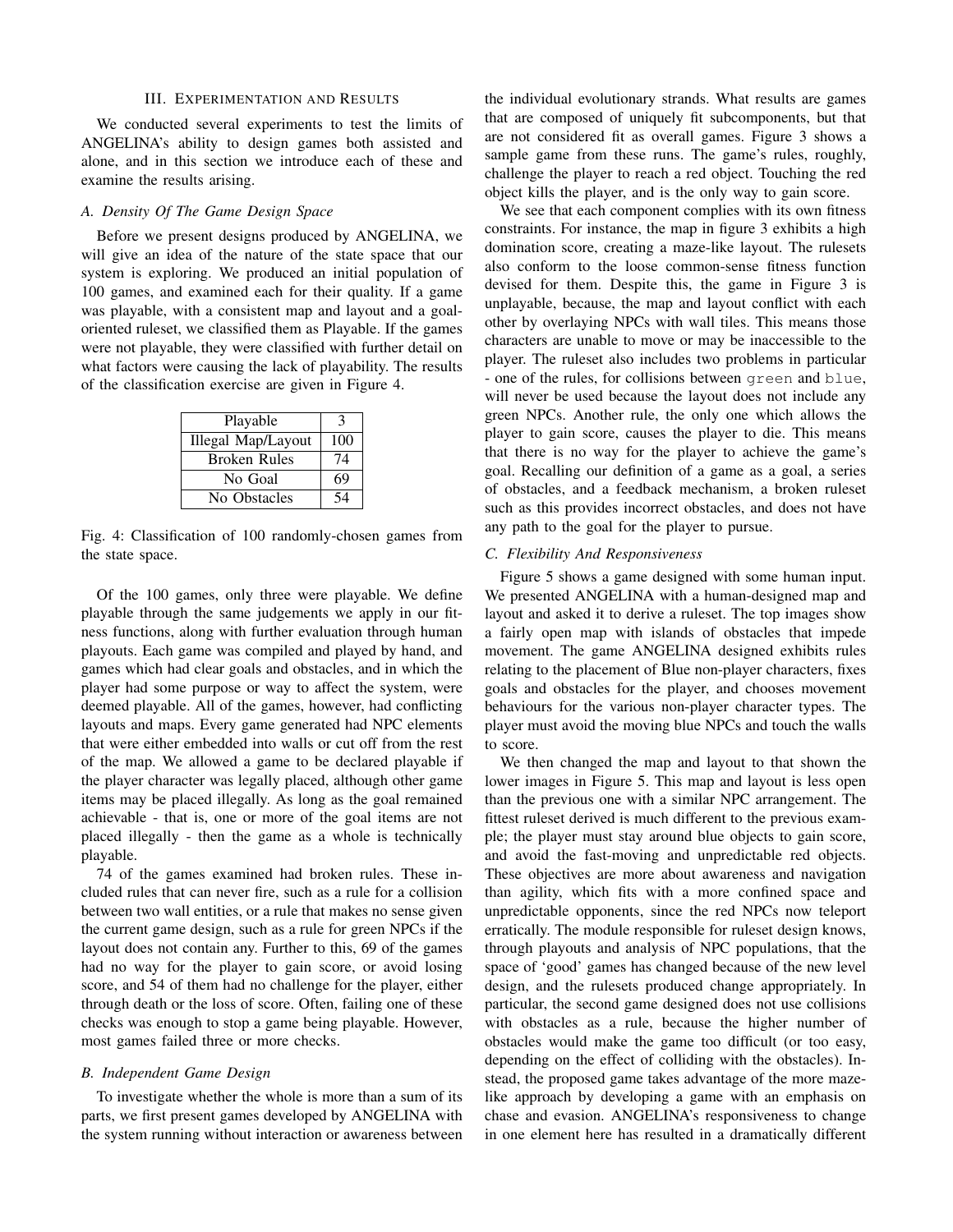#### III. EXPERIMENTATION AND RESULTS

We conducted several experiments to test the limits of ANGELINA's ability to design games both assisted and alone, and in this section we introduce each of these and examine the results arising.

## *A. Density Of The Game Design Space*

Before we present designs produced by ANGELINA, we will give an idea of the nature of the state space that our system is exploring. We produced an initial population of 100 games, and examined each for their quality. If a game was playable, with a consistent map and layout and a goaloriented ruleset, we classified them as Playable. If the games were not playable, they were classified with further detail on what factors were causing the lack of playability. The results of the classification exercise are given in Figure 4.

| Playable            | 3   |
|---------------------|-----|
| Illegal Map/Layout  | 100 |
| <b>Broken Rules</b> | 74  |
| No Goal             | 69  |
| No Obstacles        |     |

Fig. 4: Classification of 100 randomly-chosen games from the state space.

Of the 100 games, only three were playable. We define playable through the same judgements we apply in our fitness functions, along with further evaluation through human playouts. Each game was compiled and played by hand, and games which had clear goals and obstacles, and in which the player had some purpose or way to affect the system, were deemed playable. All of the games, however, had conflicting layouts and maps. Every game generated had NPC elements that were either embedded into walls or cut off from the rest of the map. We allowed a game to be declared playable if the player character was legally placed, although other game items may be placed illegally. As long as the goal remained achievable - that is, one or more of the goal items are not placed illegally - then the game as a whole is technically playable.

74 of the games examined had broken rules. These included rules that can never fire, such as a rule for a collision between two wall entities, or a rule that makes no sense given the current game design, such as a rule for green NPCs if the layout does not contain any. Further to this, 69 of the games had no way for the player to gain score, or avoid losing score, and 54 of them had no challenge for the player, either through death or the loss of score. Often, failing one of these checks was enough to stop a game being playable. However, most games failed three or more checks.

## *B. Independent Game Design*

To investigate whether the whole is more than a sum of its parts, we first present games developed by ANGELINA with the system running without interaction or awareness between

the individual evolutionary strands. What results are games that are composed of uniquely fit subcomponents, but that are not considered fit as overall games. Figure 3 shows a sample game from these runs. The game's rules, roughly, challenge the player to reach a red object. Touching the red object kills the player, and is the only way to gain score.

We see that each component complies with its own fitness constraints. For instance, the map in figure 3 exhibits a high domination score, creating a maze-like layout. The rulesets also conform to the loose common-sense fitness function devised for them. Despite this, the game in Figure 3 is unplayable, because, the map and layout conflict with each other by overlaying NPCs with wall tiles. This means those characters are unable to move or may be inaccessible to the player. The ruleset also includes two problems in particular - one of the rules, for collisions between green and blue, will never be used because the layout does not include any green NPCs. Another rule, the only one which allows the player to gain score, causes the player to die. This means that there is no way for the player to achieve the game's goal. Recalling our definition of a game as a goal, a series of obstacles, and a feedback mechanism, a broken ruleset such as this provides incorrect obstacles, and does not have any path to the goal for the player to pursue.

## *C. Flexibility And Responsiveness*

Figure 5 shows a game designed with some human input. We presented ANGELINA with a human-designed map and layout and asked it to derive a ruleset. The top images show a fairly open map with islands of obstacles that impede movement. The game ANGELINA designed exhibits rules relating to the placement of Blue non-player characters, fixes goals and obstacles for the player, and chooses movement behaviours for the various non-player character types. The player must avoid the moving blue NPCs and touch the walls to score.

We then changed the map and layout to that shown the lower images in Figure 5. This map and layout is less open than the previous one with a similar NPC arrangement. The fittest ruleset derived is much different to the previous example; the player must stay around blue objects to gain score, and avoid the fast-moving and unpredictable red objects. These objectives are more about awareness and navigation than agility, which fits with a more confined space and unpredictable opponents, since the red NPCs now teleport erratically. The module responsible for ruleset design knows, through playouts and analysis of NPC populations, that the space of 'good' games has changed because of the new level design, and the rulesets produced change appropriately. In particular, the second game designed does not use collisions with obstacles as a rule, because the higher number of obstacles would make the game too difficult (or too easy, depending on the effect of colliding with the obstacles). Instead, the proposed game takes advantage of the more mazelike approach by developing a game with an emphasis on chase and evasion. ANGELINA's responsiveness to change in one element here has resulted in a dramatically different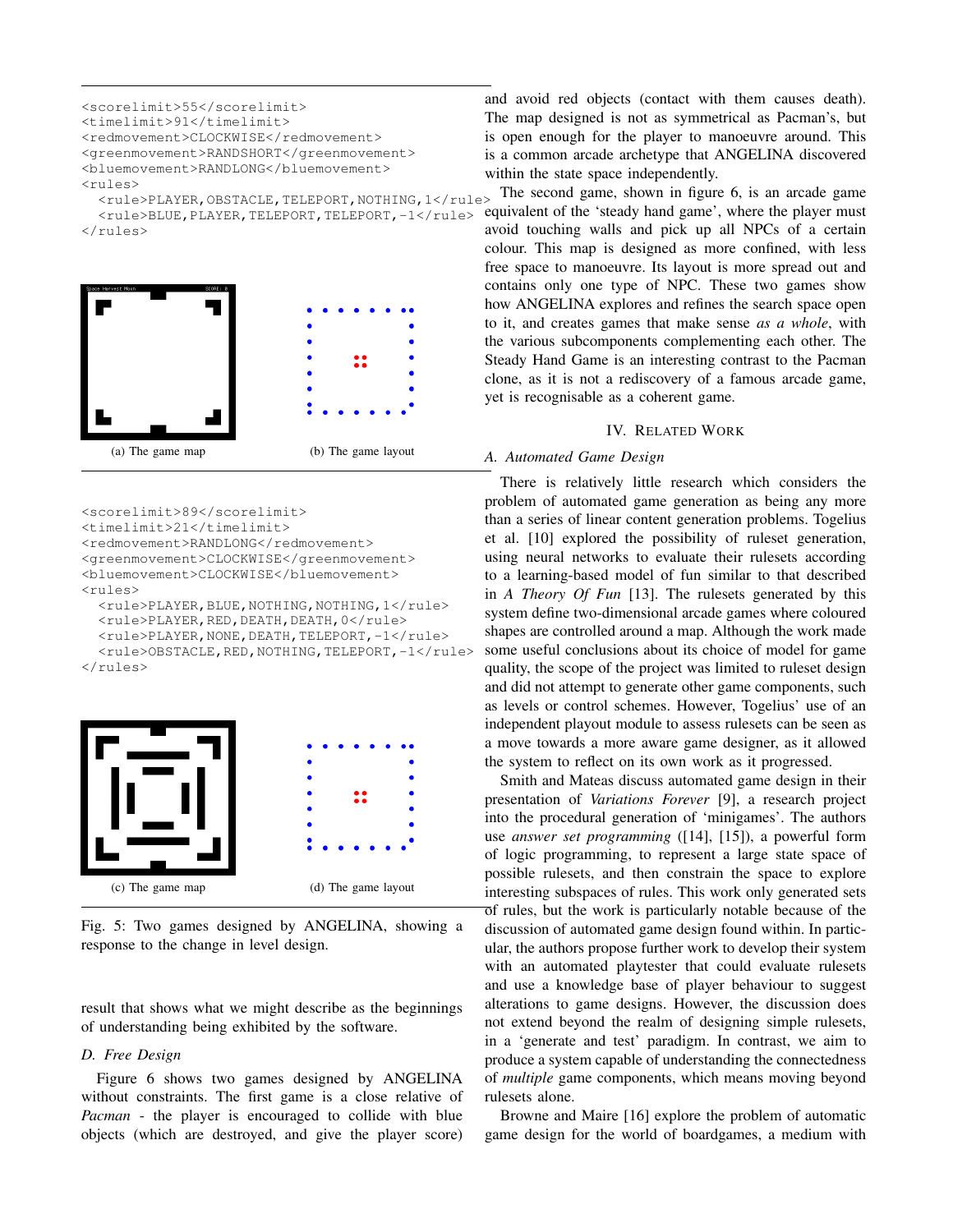```
<scorelimit>55</scorelimit>
<timelimit>91</timelimit>
<redmovement>CLOCKWISE</redmovement>
<greenmovement>RANDSHORT</greenmovement>
<bluemovement>RANDLONG</bluemovement>
<rules>
```
<rule>PLAYER, OBSTACLE, TELEPORT, NOTHING, 1</rule> <rule>BLUE, PLAYER, TELEPORT, TELEPORT, -1</rule> </rules>



```
<scorelimit>89</scorelimit>
```
<timelimit>21</timelimit>

```
<redmovement>RANDLONG</redmovement>
```

```
<greenmovement>CLOCKWISE</greenmovement>
```
<bluemovement>CLOCKWISE</bluemovement> <rules>

```
<rule>PLAYER,BLUE,NOTHING,NOTHING,1</rule>
 <rule>PLAYER,RED,DEATH,DEATH,0</rule>
 <rule>PLAYER, NONE, DEATH, TELEPORT, -1</rule>
 <rule>OBSTACLE, RED, NOTHING, TELEPORT, -1</rule>
</rules>
```


Fig. 5: Two games designed by ANGELINA, showing a response to the change in level design.

result that shows what we might describe as the beginnings of understanding being exhibited by the software.

#### *D. Free Design*

Figure 6 shows two games designed by ANGELINA without constraints. The first game is a close relative of *Pacman* - the player is encouraged to collide with blue objects (which are destroyed, and give the player score)

and avoid red objects (contact with them causes death). The map designed is not as symmetrical as Pacman's, but is open enough for the player to manoeuvre around. This is a common arcade archetype that ANGELINA discovered within the state space independently.

The second game, shown in figure 6, is an arcade game equivalent of the 'steady hand game', where the player must avoid touching walls and pick up all NPCs of a certain colour. This map is designed as more confined, with less free space to manoeuvre. Its layout is more spread out and contains only one type of NPC. These two games show how ANGELINA explores and refines the search space open to it, and creates games that make sense *as a whole*, with the various subcomponents complementing each other. The Steady Hand Game is an interesting contrast to the Pacman clone, as it is not a rediscovery of a famous arcade game, yet is recognisable as a coherent game.

#### IV. RELATED WORK

## *A. Automated Game Design*

There is relatively little research which considers the problem of automated game generation as being any more than a series of linear content generation problems. Togelius et al. [10] explored the possibility of ruleset generation, using neural networks to evaluate their rulesets according to a learning-based model of fun similar to that described in *A Theory Of Fun* [13]. The rulesets generated by this system define two-dimensional arcade games where coloured shapes are controlled around a map. Although the work made some useful conclusions about its choice of model for game quality, the scope of the project was limited to ruleset design and did not attempt to generate other game components, such as levels or control schemes. However, Togelius' use of an independent playout module to assess rulesets can be seen as a move towards a more aware game designer, as it allowed the system to reflect on its own work as it progressed.

Smith and Mateas discuss automated game design in their presentation of *Variations Forever* [9], a research project into the procedural generation of 'minigames'. The authors use *answer set programming* ([14], [15]), a powerful form of logic programming, to represent a large state space of possible rulesets, and then constrain the space to explore interesting subspaces of rules. This work only generated sets of rules, but the work is particularly notable because of the discussion of automated game design found within. In particular, the authors propose further work to develop their system with an automated playtester that could evaluate rulesets and use a knowledge base of player behaviour to suggest alterations to game designs. However, the discussion does not extend beyond the realm of designing simple rulesets, in a 'generate and test' paradigm. In contrast, we aim to produce a system capable of understanding the connectedness of *multiple* game components, which means moving beyond rulesets alone.

Browne and Maire [16] explore the problem of automatic game design for the world of boardgames, a medium with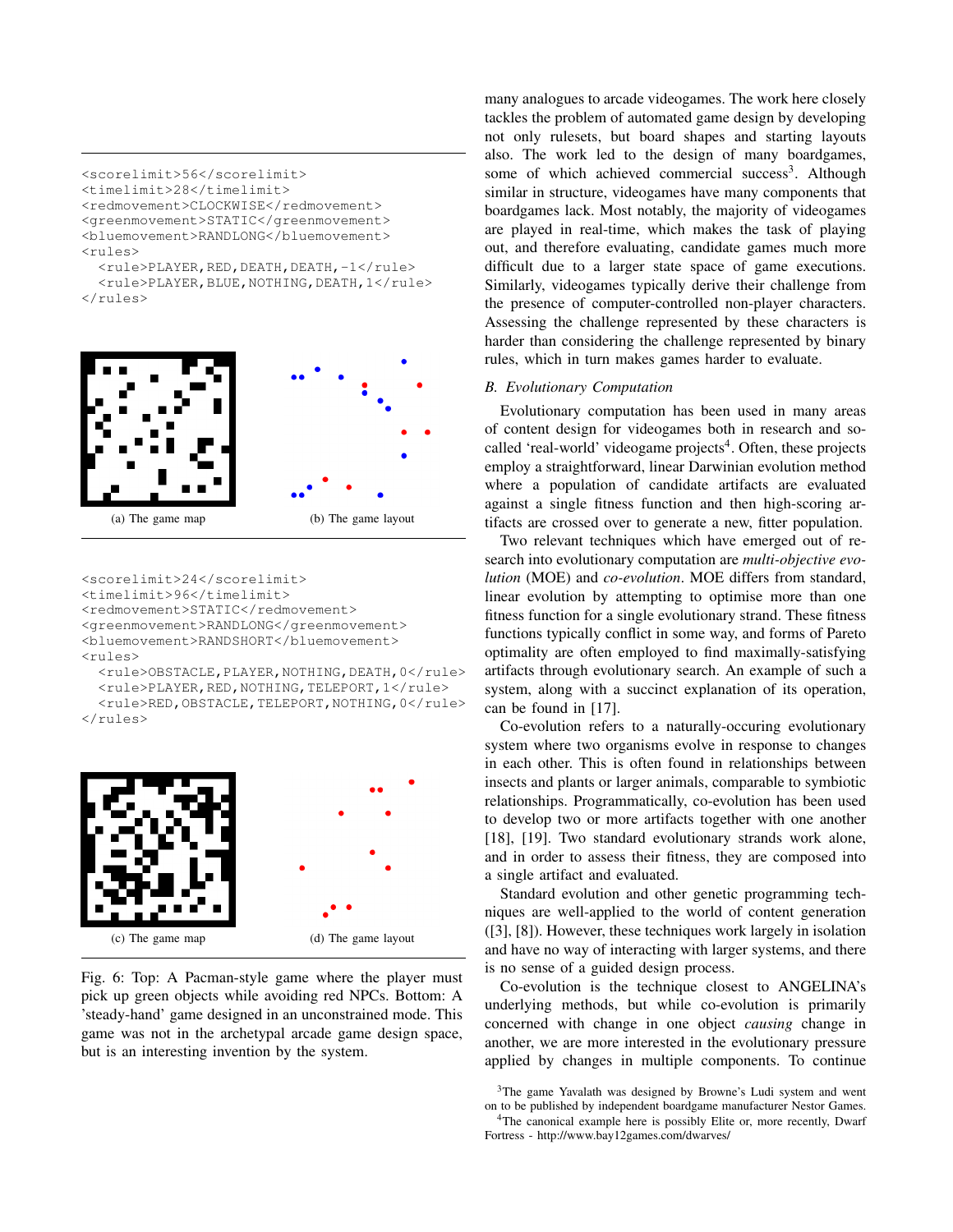```
<scorelimit>56</scorelimit>
```
<timelimit>28</timelimit>

<redmovement>CLOCKWISE</redmovement> <greenmovement>STATIC</greenmovement> <bluemovement>RANDLONG</bluemovement> <rules>

<rule>PLAYER, RED, DEATH, DEATH, -1</rule> <rule>PLAYER, BLUE, NOTHING, DEATH, 1</rule> </rules>



<scorelimit>24</scorelimit> <timelimit>96</timelimit> <redmovement>STATIC</redmovement> <greenmovement>RANDLONG</greenmovement> <bluemovement>RANDSHORT</bluemovement> <rules>

<rule>OBSTACLE,PLAYER,NOTHING,DEATH,0</rule> <rule>PLAYER, RED, NOTHING, TELEPORT, 1</rule> <rule>RED, OBSTACLE, TELEPORT, NOTHING, 0</rule> </rules>



Fig. 6: Top: A Pacman-style game where the player must pick up green objects while avoiding red NPCs. Bottom: A 'steady-hand' game designed in an unconstrained mode. This game was not in the archetypal arcade game design space, but is an interesting invention by the system.

many analogues to arcade videogames. The work here closely tackles the problem of automated game design by developing not only rulesets, but board shapes and starting layouts also. The work led to the design of many boardgames, some of which achieved commercial success<sup>3</sup>. Although similar in structure, videogames have many components that boardgames lack. Most notably, the majority of videogames are played in real-time, which makes the task of playing out, and therefore evaluating, candidate games much more difficult due to a larger state space of game executions. Similarly, videogames typically derive their challenge from the presence of computer-controlled non-player characters. Assessing the challenge represented by these characters is harder than considering the challenge represented by binary rules, which in turn makes games harder to evaluate.

# *B. Evolutionary Computation*

Evolutionary computation has been used in many areas of content design for videogames both in research and socalled 'real-world' videogame projects<sup>4</sup>. Often, these projects employ a straightforward, linear Darwinian evolution method where a population of candidate artifacts are evaluated against a single fitness function and then high-scoring artifacts are crossed over to generate a new, fitter population.

Two relevant techniques which have emerged out of research into evolutionary computation are *multi-objective evolution* (MOE) and *co-evolution*. MOE differs from standard, linear evolution by attempting to optimise more than one fitness function for a single evolutionary strand. These fitness functions typically conflict in some way, and forms of Pareto optimality are often employed to find maximally-satisfying artifacts through evolutionary search. An example of such a system, along with a succinct explanation of its operation, can be found in [17].

Co-evolution refers to a naturally-occuring evolutionary system where two organisms evolve in response to changes in each other. This is often found in relationships between insects and plants or larger animals, comparable to symbiotic relationships. Programmatically, co-evolution has been used to develop two or more artifacts together with one another [18], [19]. Two standard evolutionary strands work alone, and in order to assess their fitness, they are composed into a single artifact and evaluated.

Standard evolution and other genetic programming techniques are well-applied to the world of content generation ([3], [8]). However, these techniques work largely in isolation and have no way of interacting with larger systems, and there is no sense of a guided design process.

Co-evolution is the technique closest to ANGELINA's underlying methods, but while co-evolution is primarily concerned with change in one object *causing* change in another, we are more interested in the evolutionary pressure applied by changes in multiple components. To continue

<sup>3</sup>The game Yavalath was designed by Browne's Ludi system and went on to be published by independent boardgame manufacturer Nestor Games.

<sup>4</sup>The canonical example here is possibly Elite or, more recently, Dwarf Fortress - http://www.bay12games.com/dwarves/